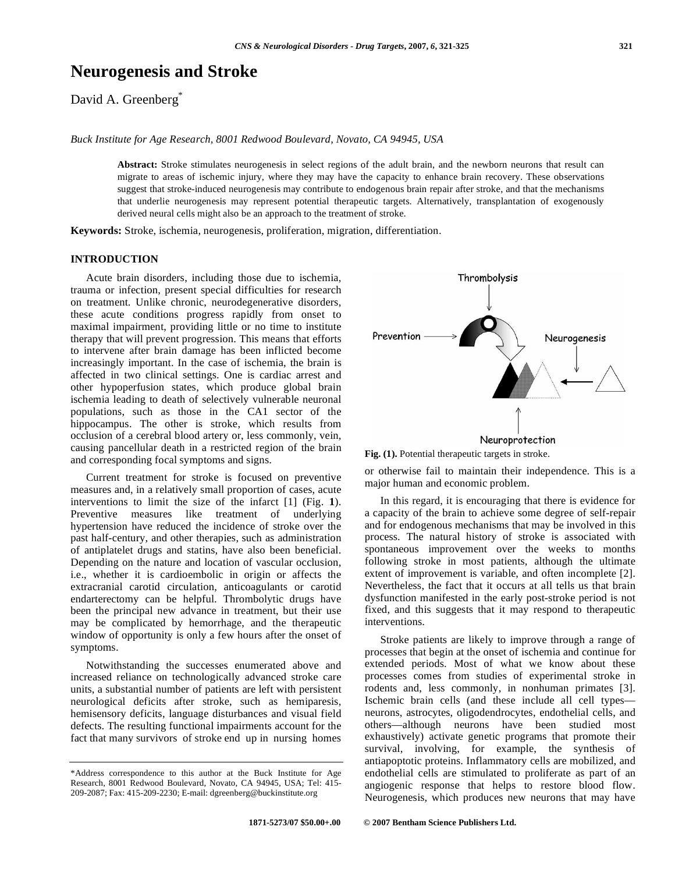# **Neurogenesis and Stroke**

David A. Greenberg<sup>\*</sup>

*Buck Institute for Age Research, 8001 Redwood Boulevard, Novato, CA 94945, USA* 

**Abstract:** Stroke stimulates neurogenesis in select regions of the adult brain, and the newborn neurons that result can migrate to areas of ischemic injury, where they may have the capacity to enhance brain recovery. These observations suggest that stroke-induced neurogenesis may contribute to endogenous brain repair after stroke, and that the mechanisms that underlie neurogenesis may represent potential therapeutic targets. Alternatively, transplantation of exogenously derived neural cells might also be an approach to the treatment of stroke.

**Keywords:** Stroke, ischemia, neurogenesis, proliferation, migration, differentiation.

## **INTRODUCTION**

 Acute brain disorders, including those due to ischemia, trauma or infection, present special difficulties for research on treatment. Unlike chronic, neurodegenerative disorders, these acute conditions progress rapidly from onset to maximal impairment, providing little or no time to institute therapy that will prevent progression. This means that efforts to intervene after brain damage has been inflicted become increasingly important. In the case of ischemia, the brain is affected in two clinical settings. One is cardiac arrest and other hypoperfusion states, which produce global brain ischemia leading to death of selectively vulnerable neuronal populations, such as those in the CA1 sector of the hippocampus. The other is stroke, which results from occlusion of a cerebral blood artery or, less commonly, vein, causing pancellular death in a restricted region of the brain and corresponding focal symptoms and signs.

 Current treatment for stroke is focused on preventive measures and, in a relatively small proportion of cases, acute interventions to limit the size of the infarct [1] (Fig. **1**). Preventive measures like treatment of underlying hypertension have reduced the incidence of stroke over the past half-century, and other therapies, such as administration of antiplatelet drugs and statins, have also been beneficial. Depending on the nature and location of vascular occlusion, i.e., whether it is cardioembolic in origin or affects the extracranial carotid circulation, anticoagulants or carotid endarterectomy can be helpful. Thrombolytic drugs have been the principal new advance in treatment, but their use may be complicated by hemorrhage, and the therapeutic window of opportunity is only a few hours after the onset of symptoms.

 Notwithstanding the successes enumerated above and increased reliance on technologically advanced stroke care units, a substantial number of patients are left with persistent neurological deficits after stroke, such as hemiparesis, hemisensory deficits, language disturbances and visual field defects. The resulting functional impairments account for the fact that many survivors of stroke end up in nursing homes



**Fig. (1).** Potential therapeutic targets in stroke.

or otherwise fail to maintain their independence. This is a major human and economic problem.

 In this regard, it is encouraging that there is evidence for a capacity of the brain to achieve some degree of self-repair and for endogenous mechanisms that may be involved in this process. The natural history of stroke is associated with spontaneous improvement over the weeks to months following stroke in most patients, although the ultimate extent of improvement is variable, and often incomplete [2]. Nevertheless, the fact that it occurs at all tells us that brain dysfunction manifested in the early post-stroke period is not fixed, and this suggests that it may respond to therapeutic interventions.

 Stroke patients are likely to improve through a range of processes that begin at the onset of ischemia and continue for extended periods. Most of what we know about these processes comes from studies of experimental stroke in rodents and, less commonly, in nonhuman primates [3]. Ischemic brain cells (and these include all cell types neurons, astrocytes, oligodendrocytes, endothelial cells, and others—although neurons have been studied most exhaustively) activate genetic programs that promote their survival, involving, for example, the synthesis of antiapoptotic proteins. Inflammatory cells are mobilized, and endothelial cells are stimulated to proliferate as part of an angiogenic response that helps to restore blood flow. Neurogenesis, which produces new neurons that may have

<sup>\*</sup>Address correspondence to this author at the Buck Institute for Age Research, 8001 Redwood Boulevard, Novato, CA 94945, USA; Tel: 415- 209-2087; Fax: 415-209-2230; E-mail: dgreenberg@buckinstitute.org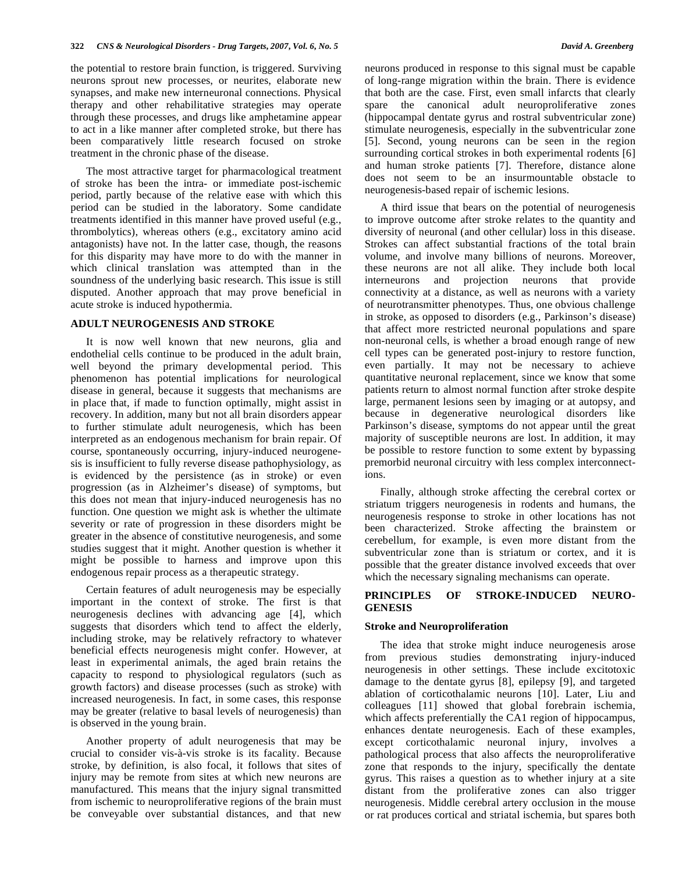the potential to restore brain function, is triggered. Surviving neurons sprout new processes, or neurites, elaborate new synapses, and make new interneuronal connections. Physical therapy and other rehabilitative strategies may operate through these processes, and drugs like amphetamine appear to act in a like manner after completed stroke, but there has been comparatively little research focused on stroke treatment in the chronic phase of the disease.

 The most attractive target for pharmacological treatment of stroke has been the intra- or immediate post-ischemic period, partly because of the relative ease with which this period can be studied in the laboratory. Some candidate treatments identified in this manner have proved useful (e.g., thrombolytics), whereas others (e.g., excitatory amino acid antagonists) have not. In the latter case, though, the reasons for this disparity may have more to do with the manner in which clinical translation was attempted than in the soundness of the underlying basic research. This issue is still disputed. Another approach that may prove beneficial in acute stroke is induced hypothermia.

## **ADULT NEUROGENESIS AND STROKE**

 It is now well known that new neurons, glia and endothelial cells continue to be produced in the adult brain, well beyond the primary developmental period. This phenomenon has potential implications for neurological disease in general, because it suggests that mechanisms are in place that, if made to function optimally, might assist in recovery. In addition, many but not all brain disorders appear to further stimulate adult neurogenesis, which has been interpreted as an endogenous mechanism for brain repair. Of course, spontaneously occurring, injury-induced neurogenesis is insufficient to fully reverse disease pathophysiology, as is evidenced by the persistence (as in stroke) or even progression (as in Alzheimer's disease) of symptoms, but this does not mean that injury-induced neurogenesis has no function. One question we might ask is whether the ultimate severity or rate of progression in these disorders might be greater in the absence of constitutive neurogenesis, and some studies suggest that it might. Another question is whether it might be possible to harness and improve upon this endogenous repair process as a therapeutic strategy.

 Certain features of adult neurogenesis may be especially important in the context of stroke. The first is that neurogenesis declines with advancing age [4], which suggests that disorders which tend to affect the elderly, including stroke, may be relatively refractory to whatever beneficial effects neurogenesis might confer. However, at least in experimental animals, the aged brain retains the capacity to respond to physiological regulators (such as growth factors) and disease processes (such as stroke) with increased neurogenesis. In fact, in some cases, this response may be greater (relative to basal levels of neurogenesis) than is observed in the young brain.

 Another property of adult neurogenesis that may be crucial to consider vis-à-vis stroke is its facality. Because stroke, by definition, is also focal, it follows that sites of injury may be remote from sites at which new neurons are manufactured. This means that the injury signal transmitted from ischemic to neuroproliferative regions of the brain must be conveyable over substantial distances, and that new

neurons produced in response to this signal must be capable of long-range migration within the brain. There is evidence that both are the case. First, even small infarcts that clearly spare the canonical adult neuroproliferative zones (hippocampal dentate gyrus and rostral subventricular zone) stimulate neurogenesis, especially in the subventricular zone [5]. Second, young neurons can be seen in the region surrounding cortical strokes in both experimental rodents [6] and human stroke patients [7]. Therefore, distance alone does not seem to be an insurmountable obstacle to neurogenesis-based repair of ischemic lesions.

 A third issue that bears on the potential of neurogenesis to improve outcome after stroke relates to the quantity and diversity of neuronal (and other cellular) loss in this disease. Strokes can affect substantial fractions of the total brain volume, and involve many billions of neurons. Moreover, these neurons are not all alike. They include both local interneurons and projection neurons that provide connectivity at a distance, as well as neurons with a variety of neurotransmitter phenotypes. Thus, one obvious challenge in stroke, as opposed to disorders (e.g., Parkinson's disease) that affect more restricted neuronal populations and spare non-neuronal cells, is whether a broad enough range of new cell types can be generated post-injury to restore function, even partially. It may not be necessary to achieve quantitative neuronal replacement, since we know that some patients return to almost normal function after stroke despite large, permanent lesions seen by imaging or at autopsy, and because in degenerative neurological disorders like Parkinson's disease, symptoms do not appear until the great majority of susceptible neurons are lost. In addition, it may be possible to restore function to some extent by bypassing premorbid neuronal circuitry with less complex interconnections.

 Finally, although stroke affecting the cerebral cortex or striatum triggers neurogenesis in rodents and humans, the neurogenesis response to stroke in other locations has not been characterized. Stroke affecting the brainstem or cerebellum, for example, is even more distant from the subventricular zone than is striatum or cortex, and it is possible that the greater distance involved exceeds that over which the necessary signaling mechanisms can operate.

## **PRINCIPLES OF STROKE-INDUCED NEURO-GENESIS**

## **Stroke and Neuroproliferation**

 The idea that stroke might induce neurogenesis arose from previous studies demonstrating injury-induced neurogenesis in other settings. These include excitotoxic damage to the dentate gyrus [8], epilepsy [9], and targeted ablation of corticothalamic neurons [10]. Later, Liu and colleagues [11] showed that global forebrain ischemia, which affects preferentially the CA1 region of hippocampus, enhances dentate neurogenesis. Each of these examples, except corticothalamic neuronal injury, involves a pathological process that also affects the neuroproliferative zone that responds to the injury, specifically the dentate gyrus. This raises a question as to whether injury at a site distant from the proliferative zones can also trigger neurogenesis. Middle cerebral artery occlusion in the mouse or rat produces cortical and striatal ischemia, but spares both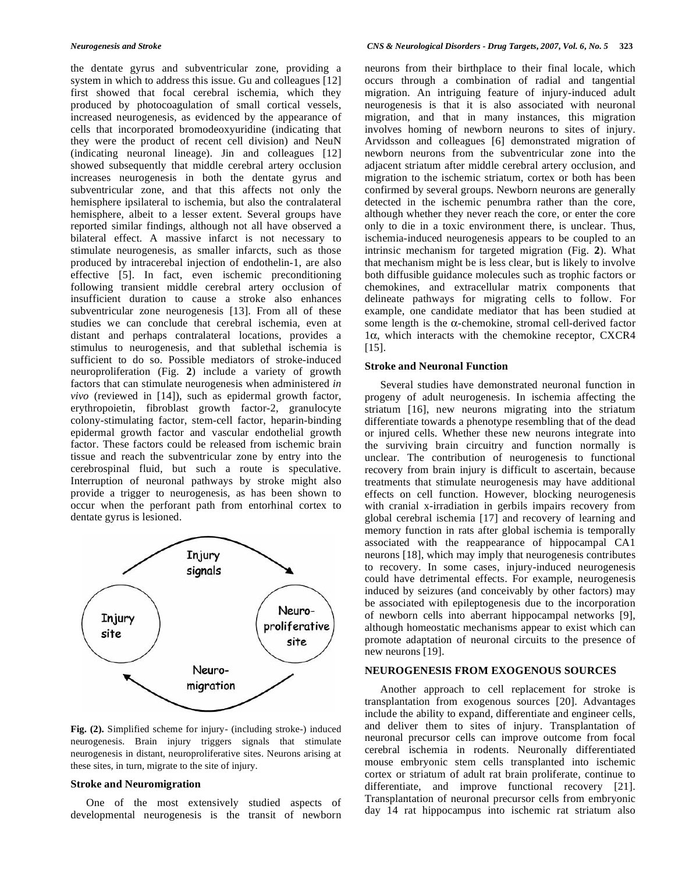the dentate gyrus and subventricular zone, providing a system in which to address this issue. Gu and colleagues [12] first showed that focal cerebral ischemia, which they produced by photocoagulation of small cortical vessels, increased neurogenesis, as evidenced by the appearance of cells that incorporated bromodeoxyuridine (indicating that they were the product of recent cell division) and NeuN (indicating neuronal lineage). Jin and colleagues [12] showed subsequently that middle cerebral artery occlusion increases neurogenesis in both the dentate gyrus and subventricular zone, and that this affects not only the hemisphere ipsilateral to ischemia, but also the contralateral hemisphere, albeit to a lesser extent. Several groups have reported similar findings, although not all have observed a bilateral effect. A massive infarct is not necessary to stimulate neurogenesis, as smaller infarcts, such as those produced by intracerebal injection of endothelin-1, are also effective [5]. In fact, even ischemic preconditioning following transient middle cerebral artery occlusion of insufficient duration to cause a stroke also enhances subventricular zone neurogenesis [13]. From all of these studies we can conclude that cerebral ischemia, even at distant and perhaps contralateral locations, provides a stimulus to neurogenesis, and that sublethal ischemia is sufficient to do so. Possible mediators of stroke-induced neuroproliferation (Fig. **2**) include a variety of growth factors that can stimulate neurogenesis when administered *in vivo* (reviewed in [14]), such as epidermal growth factor, erythropoietin, fibroblast growth factor-2, granulocyte colony-stimulating factor, stem-cell factor, heparin-binding epidermal growth factor and vascular endothelial growth factor. These factors could be released from ischemic brain tissue and reach the subventricular zone by entry into the cerebrospinal fluid, but such a route is speculative. Interruption of neuronal pathways by stroke might also provide a trigger to neurogenesis, as has been shown to occur when the perforant path from entorhinal cortex to dentate gyrus is lesioned.



**Fig. (2).** Simplified scheme for injury- (including stroke-) induced neurogenesis. Brain injury triggers signals that stimulate neurogenesis in distant, neuroproliferative sites. Neurons arising at these sites, in turn, migrate to the site of injury.

## **Stroke and Neuromigration**

 One of the most extensively studied aspects of developmental neurogenesis is the transit of newborn neurons from their birthplace to their final locale, which occurs through a combination of radial and tangential migration. An intriguing feature of injury-induced adult neurogenesis is that it is also associated with neuronal migration, and that in many instances, this migration involves homing of newborn neurons to sites of injury. Arvidsson and colleagues [6] demonstrated migration of newborn neurons from the subventricular zone into the adjacent striatum after middle cerebral artery occlusion, and migration to the ischemic striatum, cortex or both has been confirmed by several groups. Newborn neurons are generally detected in the ischemic penumbra rather than the core, although whether they never reach the core, or enter the core only to die in a toxic environment there, is unclear. Thus, ischemia-induced neurogenesis appears to be coupled to an intrinsic mechanism for targeted migration (Fig. **2**). What that mechanism might be is less clear, but is likely to involve both diffusible guidance molecules such as trophic factors or chemokines, and extracellular matrix components that delineate pathways for migrating cells to follow. For example, one candidate mediator that has been studied at some length is the  $\alpha$ -chemokine, stromal cell-derived factor  $1\alpha$ , which interacts with the chemokine receptor, CXCR4 [15].

## **Stroke and Neuronal Function**

 Several studies have demonstrated neuronal function in progeny of adult neurogenesis. In ischemia affecting the striatum [16], new neurons migrating into the striatum differentiate towards a phenotype resembling that of the dead or injured cells. Whether these new neurons integrate into the surviving brain circuitry and function normally is unclear. The contribution of neurogenesis to functional recovery from brain injury is difficult to ascertain, because treatments that stimulate neurogenesis may have additional effects on cell function. However, blocking neurogenesis with cranial x-irradiation in gerbils impairs recovery from global cerebral ischemia [17] and recovery of learning and memory function in rats after global ischemia is temporally associated with the reappearance of hippocampal CA1 neurons [18], which may imply that neurogenesis contributes to recovery. In some cases, injury-induced neurogenesis could have detrimental effects. For example, neurogenesis induced by seizures (and conceivably by other factors) may be associated with epileptogenesis due to the incorporation of newborn cells into aberrant hippocampal networks [9], although homeostatic mechanisms appear to exist which can promote adaptation of neuronal circuits to the presence of new neurons [19].

## **NEUROGENESIS FROM EXOGENOUS SOURCES**

 Another approach to cell replacement for stroke is transplantation from exogenous sources [20]. Advantages include the ability to expand, differentiate and engineer cells, and deliver them to sites of injury. Transplantation of neuronal precursor cells can improve outcome from focal cerebral ischemia in rodents. Neuronally differentiated mouse embryonic stem cells transplanted into ischemic cortex or striatum of adult rat brain proliferate, continue to differentiate, and improve functional recovery [21]. Transplantation of neuronal precursor cells from embryonic day 14 rat hippocampus into ischemic rat striatum also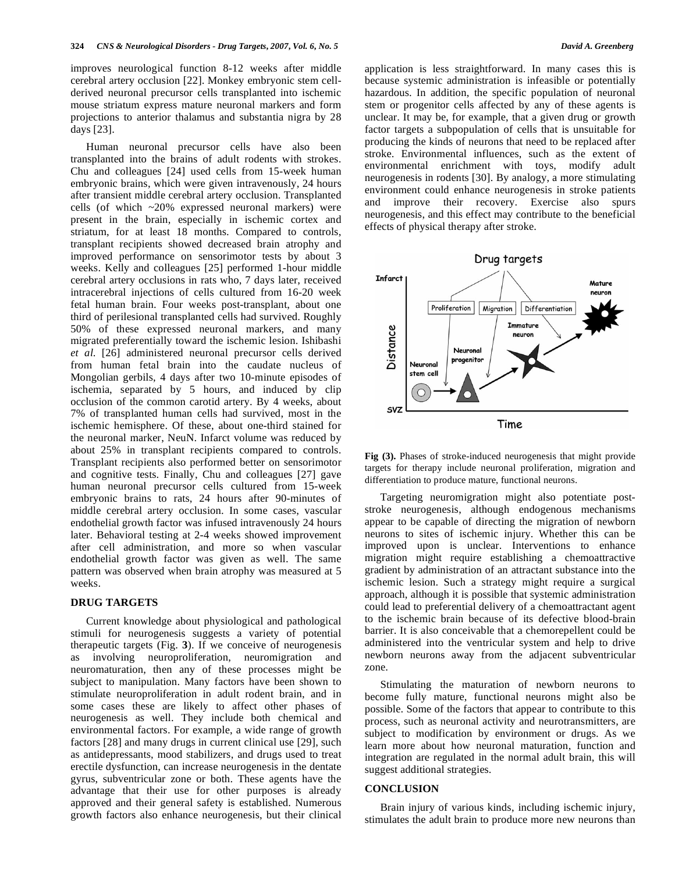improves neurological function 8-12 weeks after middle cerebral artery occlusion [22]. Monkey embryonic stem cellderived neuronal precursor cells transplanted into ischemic mouse striatum express mature neuronal markers and form projections to anterior thalamus and substantia nigra by 28 days [23].

 Human neuronal precursor cells have also been transplanted into the brains of adult rodents with strokes. Chu and colleagues [24] used cells from 15-week human embryonic brains, which were given intravenously, 24 hours after transient middle cerebral artery occlusion. Transplanted cells (of which ~20% expressed neuronal markers) were present in the brain, especially in ischemic cortex and striatum, for at least 18 months. Compared to controls, transplant recipients showed decreased brain atrophy and improved performance on sensorimotor tests by about 3 weeks. Kelly and colleagues [25] performed 1-hour middle cerebral artery occlusions in rats who, 7 days later, received intracerebral injections of cells cultured from 16-20 week fetal human brain. Four weeks post-transplant, about one third of perilesional transplanted cells had survived. Roughly 50% of these expressed neuronal markers, and many migrated preferentially toward the ischemic lesion. Ishibashi *et al*. [26] administered neuronal precursor cells derived from human fetal brain into the caudate nucleus of Mongolian gerbils, 4 days after two 10-minute episodes of ischemia, separated by 5 hours, and induced by clip occlusion of the common carotid artery. By 4 weeks, about 7% of transplanted human cells had survived, most in the ischemic hemisphere. Of these, about one-third stained for the neuronal marker, NeuN. Infarct volume was reduced by about 25% in transplant recipients compared to controls. Transplant recipients also performed better on sensorimotor and cognitive tests. Finally, Chu and colleagues [27] gave human neuronal precursor cells cultured from 15-week embryonic brains to rats, 24 hours after 90-minutes of middle cerebral artery occlusion. In some cases, vascular endothelial growth factor was infused intravenously 24 hours later. Behavioral testing at 2-4 weeks showed improvement after cell administration, and more so when vascular endothelial growth factor was given as well. The same pattern was observed when brain atrophy was measured at 5 weeks.

## **DRUG TARGETS**

 Current knowledge about physiological and pathological stimuli for neurogenesis suggests a variety of potential therapeutic targets (Fig. **3**). If we conceive of neurogenesis as involving neuroproliferation, neuromigration and neuromaturation, then any of these processes might be subject to manipulation. Many factors have been shown to stimulate neuroproliferation in adult rodent brain, and in some cases these are likely to affect other phases of neurogenesis as well. They include both chemical and environmental factors. For example, a wide range of growth factors [28] and many drugs in current clinical use [29], such as antidepressants, mood stabilizers, and drugs used to treat erectile dysfunction, can increase neurogenesis in the dentate gyrus, subventricular zone or both. These agents have the advantage that their use for other purposes is already approved and their general safety is established. Numerous growth factors also enhance neurogenesis, but their clinical

application is less straightforward. In many cases this is because systemic administration is infeasible or potentially hazardous. In addition, the specific population of neuronal stem or progenitor cells affected by any of these agents is unclear. It may be, for example, that a given drug or growth factor targets a subpopulation of cells that is unsuitable for producing the kinds of neurons that need to be replaced after stroke. Environmental influences, such as the extent of environmental enrichment with toys, modify adult neurogenesis in rodents [30]. By analogy, a more stimulating environment could enhance neurogenesis in stroke patients and improve their recovery. Exercise also spurs neurogenesis, and this effect may contribute to the beneficial effects of physical therapy after stroke.



**Fig (3).** Phases of stroke-induced neurogenesis that might provide targets for therapy include neuronal proliferation, migration and differentiation to produce mature, functional neurons.

 Targeting neuromigration might also potentiate poststroke neurogenesis, although endogenous mechanisms appear to be capable of directing the migration of newborn neurons to sites of ischemic injury. Whether this can be improved upon is unclear. Interventions to enhance migration might require establishing a chemoattractive gradient by administration of an attractant substance into the ischemic lesion. Such a strategy might require a surgical approach, although it is possible that systemic administration could lead to preferential delivery of a chemoattractant agent to the ischemic brain because of its defective blood-brain barrier. It is also conceivable that a chemorepellent could be administered into the ventricular system and help to drive newborn neurons away from the adjacent subventricular zone.

 Stimulating the maturation of newborn neurons to become fully mature, functional neurons might also be possible. Some of the factors that appear to contribute to this process, such as neuronal activity and neurotransmitters, are subject to modification by environment or drugs. As we learn more about how neuronal maturation, function and integration are regulated in the normal adult brain, this will suggest additional strategies.

## **CONCLUSION**

 Brain injury of various kinds, including ischemic injury, stimulates the adult brain to produce more new neurons than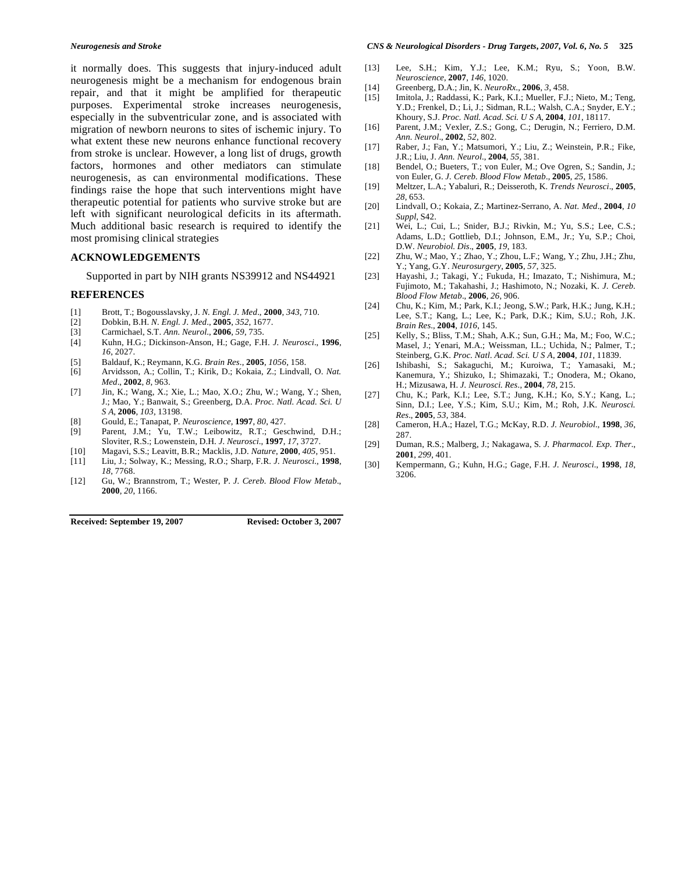it normally does. This suggests that injury-induced adult neurogenesis might be a mechanism for endogenous brain repair, and that it might be amplified for therapeutic purposes. Experimental stroke increases neurogenesis, especially in the subventricular zone, and is associated with migration of newborn neurons to sites of ischemic injury. To what extent these new neurons enhance functional recovery from stroke is unclear. However, a long list of drugs, growth factors, hormones and other mediators can stimulate neurogenesis, as can environmental modifications. These findings raise the hope that such interventions might have therapeutic potential for patients who survive stroke but are left with significant neurological deficits in its aftermath. Much additional basic research is required to identify the most promising clinical strategies

## **ACKNOWLEDGEMENTS**

Supported in part by NIH grants NS39912 and NS44921

## **REFERENCES**

- [1] Brott, T.; Bogousslavsky, J. *N. Engl. J. Med*., **2000**, *343*, 710.
- [2] Dobkin, B.H. *N. Engl. J. Med*., **2005**, *352*, 1677.
- [3] Carmichael, S.T. *Ann. Neurol*., **2006**, *59*, 735.
- [4] Kuhn, H.G.; Dickinson-Anson, H.; Gage, F.H. *J. Neurosci*., **1996**, *16*, 2027.
- [5] Baldauf, K.; Reymann, K.G. *Brain Res*., **2005**, *1056*, 158.
- [6] Arvidsson, A.; Collin, T.; Kirik, D.; Kokaia, Z.; Lindvall, O. *Nat. Med*., **2002**, *8*, 963.
- [7] Jin, K.; Wang, X.; Xie, L.; Mao, X.O.; Zhu, W.; Wang, Y.; Shen, J.; Mao, Y.; Banwait, S.; Greenberg, D.A. *Proc. Natl. Acad. Sci. U S A*, **2006**, *103*, 13198.
- [8] Gould, E.; Tanapat, P. *Neuroscience*, **1997**, *80*, 427.
- Parent, J.M.; Yu, T.W.; Leibowitz, R.T.; Geschwind, D.H.; Sloviter, R.S.; Lowenstein, D.H. *J. Neurosci*., **1997**, *17*, 3727.
- [10] Magavi, S.S.; Leavitt, B.R.; Macklis, J.D. *Nature*, **2000**, *405*, 951. [11] Liu, J.; Solway, K.; Messing, R.O.; Sharp, F.R. *J. Neurosci*., **1998**,
- *18*, 7768.
- [12] Gu, W.; Brannstrom, T.; Wester, P. *J. Cereb. Blood Flow Metab*., **2000**, *20*, 1166.

**Received: September 19, 2007 Revised: October 3, 2007**

- [13] Lee, S.H.; Kim, Y.J.; Lee, K.M.; Ryu, S.; Yoon, B.W. *Neuroscience*, **2007**, *146*, 1020.
- [14] Greenberg, D.A.; Jin, K. *NeuroRx.,* **2006**, *3*, 458.
- [15] Imitola, J.; Raddassi, K.; Park, K.I.; Mueller, F.J.; Nieto, M.; Teng, Y.D.; Frenkel, D.; Li, J.; Sidman, R.L.; Walsh, C.A.; Snyder, E.Y.; Khoury, S.J. *Proc. Natl. Acad. Sci. U S A*, **2004**, *101*, 18117.
- [16] Parent, J.M.; Vexler, Z.S.; Gong, C.; Derugin, N.; Ferriero, D.M. *Ann. Neurol*., **2002**, *52*, 802.
- [17] Raber, J.; Fan, Y.; Matsumori, Y.; Liu, Z.; Weinstein, P.R.; Fike, J.R.; Liu, J. *Ann. Neurol*., **2004**, *55*, 381.
- [18] Bendel, O.; Bueters, T.; von Euler, M.; Ove Ogren, S.; Sandin, J.; von Euler, G. *J. Cereb. Blood Flow Metab*., **2005**, *25*, 1586.
- [19] Meltzer, L.A.; Yabaluri, R.; Deisseroth, K. *Trends Neurosci*., **2005**, *28*, 653.
- [20] Lindvall, O.; Kokaia, Z.; Martinez-Serrano, A. *Nat. Med*., **2004**, *10 Suppl*, S42.
- [21] Wei, L.; Cui, L.; Snider, B.J.; Rivkin, M.; Yu, S.S.; Lee, C.S.; Adams, L.D.; Gottlieb, D.I.; Johnson, E.M., Jr.; Yu, S.P.; Choi, D.W. *Neurobiol. Dis*., **2005**, *19*, 183.
- [22] Zhu, W.; Mao, Y.; Zhao, Y.; Zhou, L.F.; Wang, Y.; Zhu, J.H.; Zhu, Y.; Yang, G.Y. *Neurosurgery*, **2005**, *57*, 325.
- [23] Hayashi, J.; Takagi, Y.; Fukuda, H.; Imazato, T.; Nishimura, M.; Fujimoto, M.; Takahashi, J.; Hashimoto, N.; Nozaki, K. *J. Cereb. Blood Flow Metab*., **2006**, *26*, 906.
- [24] Chu, K.; Kim, M.; Park, K.I.; Jeong, S.W.; Park, H.K.; Jung, K.H.; Lee, S.T.; Kang, L.; Lee, K.; Park, D.K.; Kim, S.U.; Roh, J.K. *Brain Res*., **2004**, *1016*, 145.
- [25] Kelly, S.; Bliss, T.M.; Shah, A.K.; Sun, G.H.; Ma, M.; Foo, W.C.; Masel, J.; Yenari, M.A.; Weissman, I.L.; Uchida, N.; Palmer, T.; Steinberg, G.K. *Proc. Natl. Acad. Sci. U S A*, **2004**, *101*, 11839.
- [26] Ishibashi, S.; Sakaguchi, M.; Kuroiwa, T.; Yamasaki, M.; Kanemura, Y.; Shizuko, I.; Shimazaki, T.; Onodera, M.; Okano, H.; Mizusawa, H. *J. Neurosci. Res*., **2004**, *78*, 215.
- [27] Chu, K.; Park, K.I.; Lee, S.T.; Jung, K.H.; Ko, S.Y.; Kang, L.; Sinn, D.I.; Lee, Y.S.; Kim, S.U.; Kim, M.; Roh, J.K. *Neurosci. Res*., **2005**, *53*, 384.
- [28] Cameron, H.A.; Hazel, T.G.; McKay, R.D. *J. Neurobiol*., **1998**, *36*, 287.
- [29] Duman, R.S.; Malberg, J.; Nakagawa, S. *J. Pharmacol. Exp. Ther*., **2001**, *299*, 401.
- [30] Kempermann, G.; Kuhn, H.G.; Gage, F.H. *J. Neurosci*., **1998**, *18*, 3206.